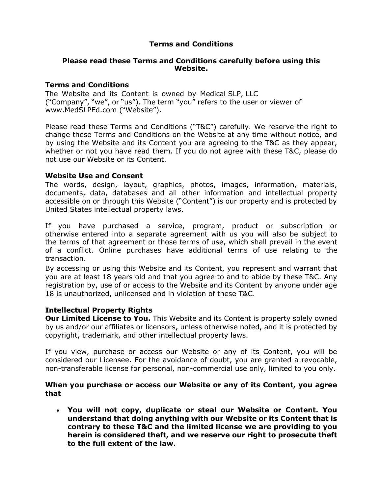# **Terms and Conditions**

### **Please read these Terms and Conditions carefully before using this Website.**

## **Terms and Conditions**

The Website and its Content is owned by Medical SLP, LLC ("Company", "we", or "us"). The term "you" refers to the user or viewer of www.MedSLPEd.com ("Website").

Please read these Terms and Conditions ("T&C") carefully. We reserve the right to change these Terms and Conditions on the Website at any time without notice, and by using the Website and its Content you are agreeing to the T&C as they appear, whether or not you have read them. If you do not agree with these T&C, please do not use our Website or its Content.

## **Website Use and Consent**

The words, design, layout, graphics, photos, images, information, materials, documents, data, databases and all other information and intellectual property accessible on or through this Website ("Content") is our property and is protected by United States intellectual property laws.

If you have purchased a service, program, product or subscription or otherwise entered into a separate agreement with us you will also be subject to the terms of that agreement or those terms of use, which shall prevail in the event of a conflict. Online purchases have additional terms of use relating to the transaction.

By accessing or using this Website and its Content, you represent and warrant that you are at least 18 years old and that you agree to and to abide by these T&C. Any registration by, use of or access to the Website and its Content by anyone under age 18 is unauthorized, unlicensed and in violation of these T&C.

# **Intellectual Property Rights**

**Our Limited License to You.** This Website and its Content is property solely owned by us and/or our affiliates or licensors, unless otherwise noted, and it is protected by copyright, trademark, and other intellectual property laws.

If you view, purchase or access our Website or any of its Content, you will be considered our Licensee. For the avoidance of doubt, you are granted a revocable, non-transferable license for personal, non-commercial use only, limited to you only.

## **When you purchase or access our Website or any of its Content, you agree that**

• **You will not copy, duplicate or steal our Website or Content. You understand that doing anything with our Website or its Content that is contrary to these T&C and the limited license we are providing to you herein is considered theft, and we reserve our right to prosecute theft to the full extent of the law.**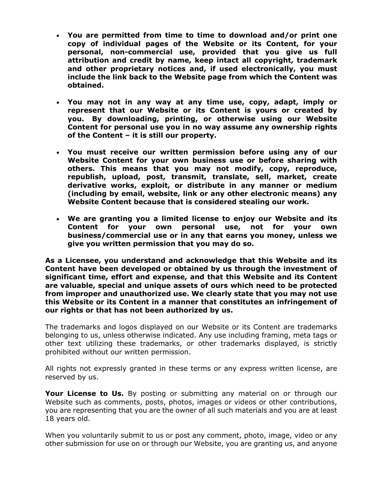- **You are permitted from time to time to download and/or print one copy of individual pages of the Website or its Content, for your personal, non-commercial use, provided that you give us full attribution and credit by name, keep intact all copyright, trademark and other proprietary notices and, if used electronically, you must include the link back to the Website page from which the Content was obtained.**
- **You may not in any way at any time use, copy, adapt, imply or represent that our Website or its Content is yours or created by you. By downloading, printing, or otherwise using our Website Content for personal use you in no way assume any ownership rights of the Content – it is still our property.**
- **You must receive our written permission before using any of our Website Content for your own business use or before sharing with others. This means that you may not modify, copy, reproduce, republish, upload, post, transmit, translate, sell, market, create derivative works, exploit, or distribute in any manner or medium (including by email, website, link or any other electronic means) any Website Content because that is considered stealing our work.**
- **We are granting you a limited license to enjoy our Website and its Content for your own personal use, not for your own business/commercial use or in any that earns you money, unless we give you written permission that you may do so.**

**As a Licensee, you understand and acknowledge that this Website and its Content have been developed or obtained by us through the investment of significant time, effort and expense, and that this Website and its Content are valuable, special and unique assets of ours which need to be protected from improper and unauthorized use. We clearly state that you may not use this Website or its Content in a manner that constitutes an infringement of our rights or that has not been authorized by us.**

The trademarks and logos displayed on our Website or its Content are trademarks belonging to us, unless otherwise indicated. Any use including framing, meta tags or other text utilizing these trademarks, or other trademarks displayed, is strictly prohibited without our written permission.

All rights not expressly granted in these terms or any express written license, are reserved by us.

**Your License to Us.** By posting or submitting any material on or through our Website such as comments, posts, photos, images or videos or other contributions, you are representing that you are the owner of all such materials and you are at least 18 years old.

When you voluntarily submit to us or post any comment, photo, image, video or any other submission for use on or through our Website, you are granting us, and anyone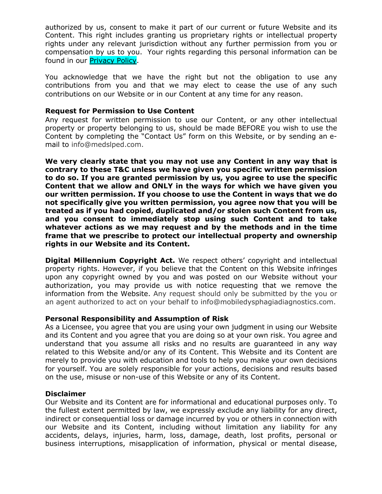authorized by us, consent to make it part of our current or future Website and its Content. This right includes granting us proprietary rights or intellectual property rights under any relevant jurisdiction without any further permission from you or compensation by us to you. Your rights regarding this personal information can be found in our **Privacy Policy.** 

You acknowledge that we have the right but not the obligation to use any contributions from you and that we may elect to cease the use of any such contributions on our Website or in our Content at any time for any reason.

## **Request for Permission to Use Content**

Any request for written permission to use our Content, or any other intellectual property or property belonging to us, should be made BEFORE you wish to use the Content by completing the "Contact Us" form on this Website, or by sending an email to info@medslped.com.

**We very clearly state that you may not use any Content in any way that is contrary to these T&C unless we have given you specific written permission to do so. If you are granted permission by us, you agree to use the specific Content that we allow and ONLY in the ways for which we have given you our written permission. If you choose to use the Content in ways that we do not specifically give you written permission, you agree now that you will be treated as if you had copied, duplicated and/or stolen such Content from us, and you consent to immediately stop using such Content and to take whatever actions as we may request and by the methods and in the time frame that we prescribe to protect our intellectual property and ownership rights in our Website and its Content.**

**Digital Millennium Copyright Act.** We respect others' copyright and intellectual property rights. However, if you believe that the Content on this Website infringes upon any copyright owned by you and was posted on our Website without your authorization, you may provide us with notice requesting that we remove the information from the Website. Any request should only be submitted by the you or an agent authorized to act on your behalf to info@mobiledysphagiadiagnostics.com.

#### **Personal Responsibility and Assumption of Risk**

As a Licensee, you agree that you are using your own judgment in using our Website and its Content and you agree that you are doing so at your own risk. You agree and understand that you assume all risks and no results are guaranteed in any way related to this Website and/or any of its Content. This Website and its Content are merely to provide you with education and tools to help you make your own decisions for yourself. You are solely responsible for your actions, decisions and results based on the use, misuse or non-use of this Website or any of its Content.

#### **Disclaimer**

Our Website and its Content are for informational and educational purposes only. To the fullest extent permitted by law, we expressly exclude any liability for any direct, indirect or consequential loss or damage incurred by you or others in connection with our Website and its Content, including without limitation any liability for any accidents, delays, injuries, harm, loss, damage, death, lost profits, personal or business interruptions, misapplication of information, physical or mental disease,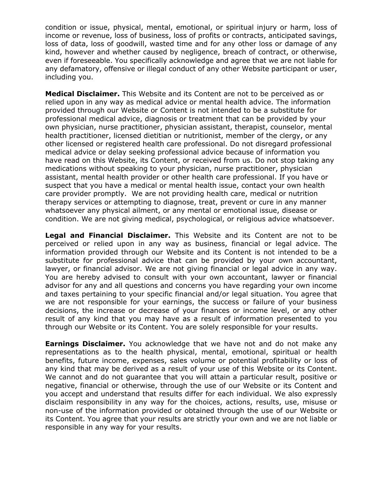condition or issue, physical, mental, emotional, or spiritual injury or harm, loss of income or revenue, loss of business, loss of profits or contracts, anticipated savings, loss of data, loss of goodwill, wasted time and for any other loss or damage of any kind, however and whether caused by negligence, breach of contract, or otherwise, even if foreseeable. You specifically acknowledge and agree that we are not liable for any defamatory, offensive or illegal conduct of any other Website participant or user, including you.

**Medical Disclaimer.** This Website and its Content are not to be perceived as or relied upon in any way as medical advice or mental health advice. The information provided through our Website or Content is not intended to be a substitute for professional medical advice, diagnosis or treatment that can be provided by your own physician, nurse practitioner, physician assistant, therapist, counselor, mental health practitioner, licensed dietitian or nutritionist, member of the clergy, or any other licensed or registered health care professional. Do not disregard professional medical advice or delay seeking professional advice because of information you have read on this Website, its Content, or received from us. Do not stop taking any medications without speaking to your physician, nurse practitioner, physician assistant, mental health provider or other health care professional. If you have or suspect that you have a medical or mental health issue, contact your own health care provider promptly. We are not providing health care, medical or nutrition therapy services or attempting to diagnose, treat, prevent or cure in any manner whatsoever any physical ailment, or any mental or emotional issue, disease or condition. We are not giving medical, psychological, or religious advice whatsoever.

**Legal and Financial Disclaimer.** This Website and its Content are not to be perceived or relied upon in any way as business, financial or legal advice. The information provided through our Website and its Content is not intended to be a substitute for professional advice that can be provided by your own accountant, lawyer, or financial advisor. We are not giving financial or legal advice in any way. You are hereby advised to consult with your own accountant, lawyer or financial advisor for any and all questions and concerns you have regarding your own income and taxes pertaining to your specific financial and/or legal situation. You agree that we are not responsible for your earnings, the success or failure of your business decisions, the increase or decrease of your finances or income level, or any other result of any kind that you may have as a result of information presented to you through our Website or its Content. You are solely responsible for your results.

**Earnings Disclaimer.** You acknowledge that we have not and do not make any representations as to the health physical, mental, emotional, spiritual or health benefits, future income, expenses, sales volume or potential profitability or loss of any kind that may be derived as a result of your use of this Website or its Content. We cannot and do not guarantee that you will attain a particular result, positive or negative, financial or otherwise, through the use of our Website or its Content and you accept and understand that results differ for each individual. We also expressly disclaim responsibility in any way for the choices, actions, results, use, misuse or non-use of the information provided or obtained through the use of our Website or its Content. You agree that your results are strictly your own and we are not liable or responsible in any way for your results.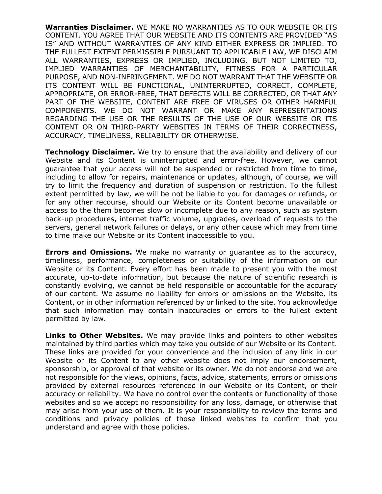**Warranties Disclaimer.** WE MAKE NO WARRANTIES AS TO OUR WEBSITE OR ITS CONTENT. YOU AGREE THAT OUR WEBSITE AND ITS CONTENTS ARE PROVIDED "AS IS" AND WITHOUT WARRANTIES OF ANY KIND EITHER EXPRESS OR IMPLIED. TO THE FULLEST EXTENT PERMISSIBLE PURSUANT TO APPLICABLE LAW, WE DISCLAIM ALL WARRANTIES, EXPRESS OR IMPLIED, INCLUDING, BUT NOT LIMITED TO, IMPLIED WARRANTIES OF MERCHANTABILITY, FITNESS FOR A PARTICULAR PURPOSE, AND NON-INFRINGEMENT. WE DO NOT WARRANT THAT THE WEBSITE OR ITS CONTENT WILL BE FUNCTIONAL, UNINTERRUPTED, CORRECT, COMPLETE, APPROPRIATE, OR ERROR-FREE, THAT DEFECTS WILL BE CORRECTED, OR THAT ANY PART OF THE WEBSITE, CONTENT ARE FREE OF VIRUSES OR OTHER HARMFUL COMPONENTS. WE DO NOT WARRANT OR MAKE ANY REPRESENTATIONS REGARDING THE USE OR THE RESULTS OF THE USE OF OUR WEBSITE OR ITS CONTENT OR ON THIRD-PARTY WEBSITES IN TERMS OF THEIR CORRECTNESS, ACCURACY, TIMELINESS, RELIABILITY OR OTHERWISE.

**Technology Disclaimer.** We try to ensure that the availability and delivery of our Website and its Content is uninterrupted and error-free. However, we cannot guarantee that your access will not be suspended or restricted from time to time, including to allow for repairs, maintenance or updates, although, of course, we will try to limit the frequency and duration of suspension or restriction. To the fullest extent permitted by law, we will be not be liable to you for damages or refunds, or for any other recourse, should our Website or its Content become unavailable or access to the them becomes slow or incomplete due to any reason, such as system back-up procedures, internet traffic volume, upgrades, overload of requests to the servers, general network failures or delays, or any other cause which may from time to time make our Website or its Content inaccessible to you.

**Errors and Omissions.** We make no warranty or guarantee as to the accuracy, timeliness, performance, completeness or suitability of the information on our Website or its Content. Every effort has been made to present you with the most accurate, up-to-date information, but because the nature of scientific research is constantly evolving, we cannot be held responsible or accountable for the accuracy of our content. We assume no liability for errors or omissions on the Website, its Content, or in other information referenced by or linked to the site. You acknowledge that such information may contain inaccuracies or errors to the fullest extent permitted by law.

**Links to Other Websites.** We may provide links and pointers to other websites maintained by third parties which may take you outside of our Website or its Content. These links are provided for your convenience and the inclusion of any link in our Website or its Content to any other website does not imply our endorsement, sponsorship, or approval of that website or its owner. We do not endorse and we are not responsible for the views, opinions, facts, advice, statements, errors or omissions provided by external resources referenced in our Website or its Content, or their accuracy or reliability. We have no control over the contents or functionality of those websites and so we accept no responsibility for any loss, damage, or otherwise that may arise from your use of them. It is your responsibility to review the terms and conditions and privacy policies of those linked websites to confirm that you understand and agree with those policies.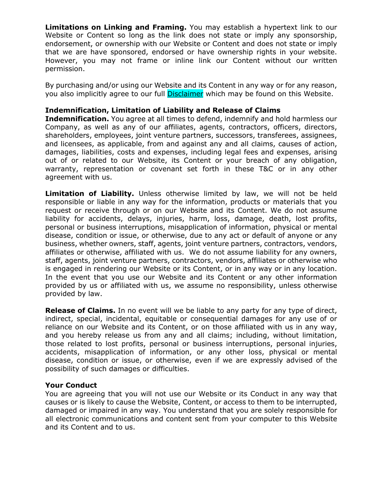**Limitations on Linking and Framing.** You may establish a hypertext link to our Website or Content so long as the link does not state or imply any sponsorship, endorsement, or ownership with our Website or Content and does not state or imply that we are have sponsored, endorsed or have ownership rights in your website. However, you may not frame or inline link our Content without our written permission.

By purchasing and/or using our Website and its Content in any way or for any reason, you also implicitly agree to our full **Disclaimer** which may be found on this Website.

### **Indemnification, Limitation of Liability and Release of Claims**

**Indemnification.** You agree at all times to defend, indemnify and hold harmless our Company, as well as any of our affiliates, agents, contractors, officers, directors, shareholders, employees, joint venture partners, successors, transferees, assignees, and licensees, as applicable, from and against any and all claims, causes of action, damages, liabilities, costs and expenses, including legal fees and expenses, arising out of or related to our Website, its Content or your breach of any obligation, warranty, representation or covenant set forth in these T&C or in any other agreement with us.

**Limitation of Liability.** Unless otherwise limited by law, we will not be held responsible or liable in any way for the information, products or materials that you request or receive through or on our Website and its Content. We do not assume liability for accidents, delays, injuries, harm, loss, damage, death, lost profits, personal or business interruptions, misapplication of information, physical or mental disease, condition or issue, or otherwise, due to any act or default of anyone or any business, whether owners, staff, agents, joint venture partners, contractors, vendors, affiliates or otherwise, affiliated with us. We do not assume liability for any owners, staff, agents, joint venture partners, contractors, vendors, affiliates or otherwise who is engaged in rendering our Website or its Content, or in any way or in any location. In the event that you use our Website and its Content or any other information provided by us or affiliated with us, we assume no responsibility, unless otherwise provided by law.

**Release of Claims.** In no event will we be liable to any party for any type of direct, indirect, special, incidental, equitable or consequential damages for any use of or reliance on our Website and its Content, or on those affiliated with us in any way, and you hereby release us from any and all claims; including, without limitation, those related to lost profits, personal or business interruptions, personal injuries, accidents, misapplication of information, or any other loss, physical or mental disease, condition or issue, or otherwise, even if we are expressly advised of the possibility of such damages or difficulties.

#### **Your Conduct**

You are agreeing that you will not use our Website or its Conduct in any way that causes or is likely to cause the Website, Content, or access to them to be interrupted, damaged or impaired in any way. You understand that you are solely responsible for all electronic communications and content sent from your computer to this Website and its Content and to us.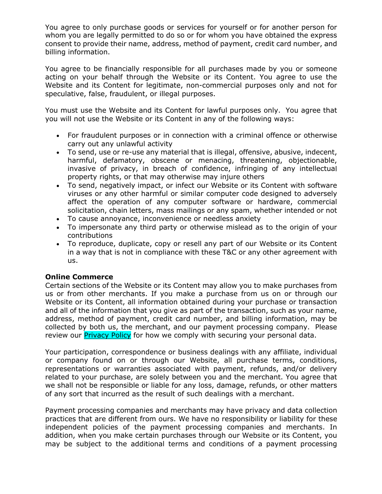You agree to only purchase goods or services for yourself or for another person for whom you are legally permitted to do so or for whom you have obtained the express consent to provide their name, address, method of payment, credit card number, and billing information.

You agree to be financially responsible for all purchases made by you or someone acting on your behalf through the Website or its Content. You agree to use the Website and its Content for legitimate, non-commercial purposes only and not for speculative, false, fraudulent, or illegal purposes.

You must use the Website and its Content for lawful purposes only. You agree that you will not use the Website or its Content in any of the following ways:

- For fraudulent purposes or in connection with a criminal offence or otherwise carry out any unlawful activity
- To send, use or re-use any material that is illegal, offensive, abusive, indecent, harmful, defamatory, obscene or menacing, threatening, objectionable, invasive of privacy, in breach of confidence, infringing of any intellectual property rights, or that may otherwise may injure others
- To send, negatively impact, or infect our Website or its Content with software viruses or any other harmful or similar computer code designed to adversely affect the operation of any computer software or hardware, commercial solicitation, chain letters, mass mailings or any spam, whether intended or not
- To cause annoyance, inconvenience or needless anxiety
- To impersonate any third party or otherwise mislead as to the origin of your contributions
- To reproduce, duplicate, copy or resell any part of our Website or its Content in a way that is not in compliance with these T&C or any other agreement with us.

# **Online Commerce**

Certain sections of the Website or its Content may allow you to make purchases from us or from other merchants. If you make a purchase from us on or through our Website or its Content, all information obtained during your purchase or transaction and all of the information that you give as part of the transaction, such as your name, address, method of payment, credit card number, and billing information, may be collected by both us, the merchant, and our payment processing company. Please review our **Privacy Policy** for how we comply with securing your personal data.

Your participation, correspondence or business dealings with any affiliate, individual or company found on or through our Website, all purchase terms, conditions, representations or warranties associated with payment, refunds, and/or delivery related to your purchase, are solely between you and the merchant. You agree that we shall not be responsible or liable for any loss, damage, refunds, or other matters of any sort that incurred as the result of such dealings with a merchant.

Payment processing companies and merchants may have privacy and data collection practices that are different from ours. We have no responsibility or liability for these independent policies of the payment processing companies and merchants. In addition, when you make certain purchases through our Website or its Content, you may be subject to the additional terms and conditions of a payment processing